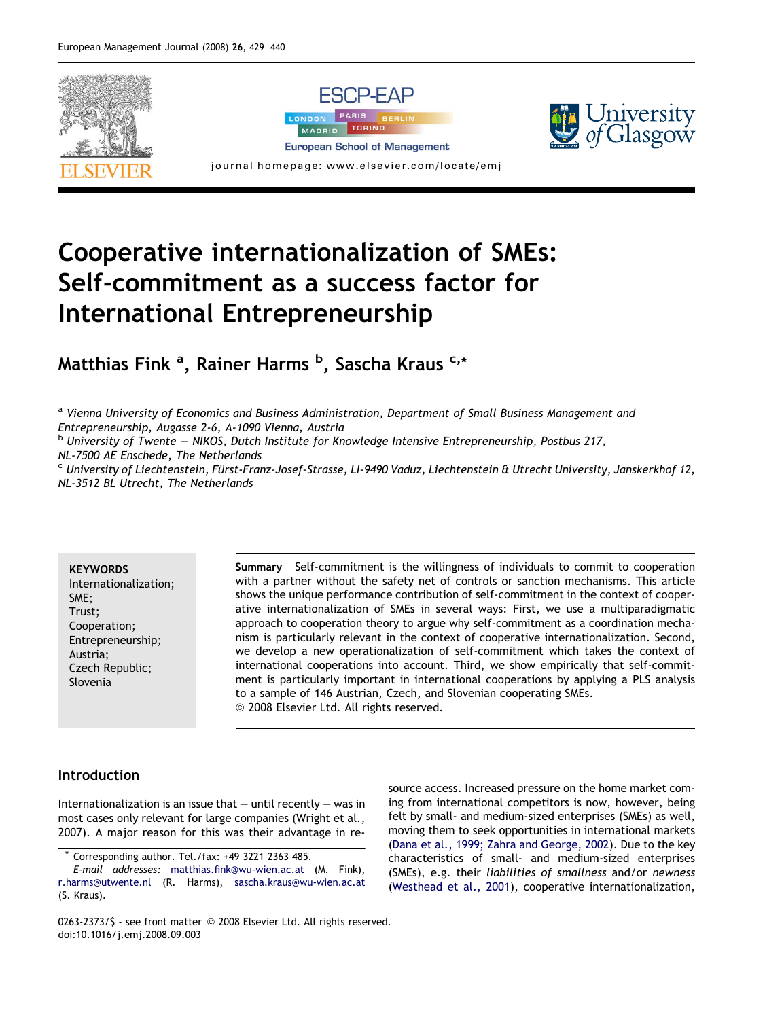

## Cooperative internationalization of SMEs: Self-commitment as a success factor for International Entrepreneurship

Matthias Fink <sup>a</sup>, Rainer Harms <sup>b</sup>, Sascha Kraus <sup>c,</sup>\*

a Vienna University of Economics and Business Administration, Department of Small Business Management and Entrepreneurship, Augasse 2-6, A-1090 Vienna, Austria

 $<sup>b</sup>$  University of Twente – NIKOS, Dutch Institute for Knowledge Intensive Entrepreneurship, Postbus 217,</sup> NL-7500 AE Enschede, The Netherlands

 $c$  University of Liechtenstein, Fürst-Franz-Josef-Strasse, LI-9490 Vaduz, Liechtenstein & Utrecht University, Janskerkhof 12, NL-3512 BL Utrecht, The Netherlands

**KEYWORDS** 

Internationalization; SME; Trust; Cooperation; Entrepreneurship; Austria; Czech Republic; Slovenia

Summary Self-commitment is the willingness of individuals to commit to cooperation with a partner without the safety net of controls or sanction mechanisms. This article shows the unique performance contribution of self-commitment in the context of cooperative internationalization of SMEs in several ways: First, we use a multiparadigmatic approach to cooperation theory to argue why self-commitment as a coordination mechanism is particularly relevant in the context of cooperative internationalization. Second, we develop a new operationalization of self-commitment which takes the context of international cooperations into account. Third, we show empirically that self-commitment is particularly important in international cooperations by applying a PLS analysis to a sample of 146 Austrian, Czech, and Slovenian cooperating SMEs.  $@$  2008 Elsevier Ltd. All rights reserved.

## Introduction

Internationalization is an issue that  $-$  until recently  $-$  was in most cases only relevant for large companies (Wright et al., 2007). A major reason for this was their advantage in resource access. Increased pressure on the home market coming from international competitors is now, however, being felt by small- and medium-sized enterprises (SMEs) as well, moving them to seek opportunities in international markets ([Dana et al., 1999; Zahra and George, 2002](#page--1-0)). Due to the key characteristics of small- and medium-sized enterprises (SMEs), e.g. their liabilities of smallness and/or newness ([Westhead et al., 2001](#page--1-0)), cooperative internationalization,

<sup>\*</sup> Corresponding author. Tel./fax: +49 3221 2363 485.

E-mail addresses: [matthias.fink@wu-wien.ac.at](mailto:matthias.fink@wu-wien.ac.at) (M. Fink), [r.harms@utwente.nl](mailto:r.harms@utwente.nl) (R. Harms), [sascha.kraus@wu-wien.ac.at](mailto:sascha.kraus@wu-wien.ac.at) (S. Kraus).

<sup>0263-2373/\$ -</sup> see front matter © 2008 Elsevier Ltd. All rights reserved. doi:10.1016/j.emj.2008.09.003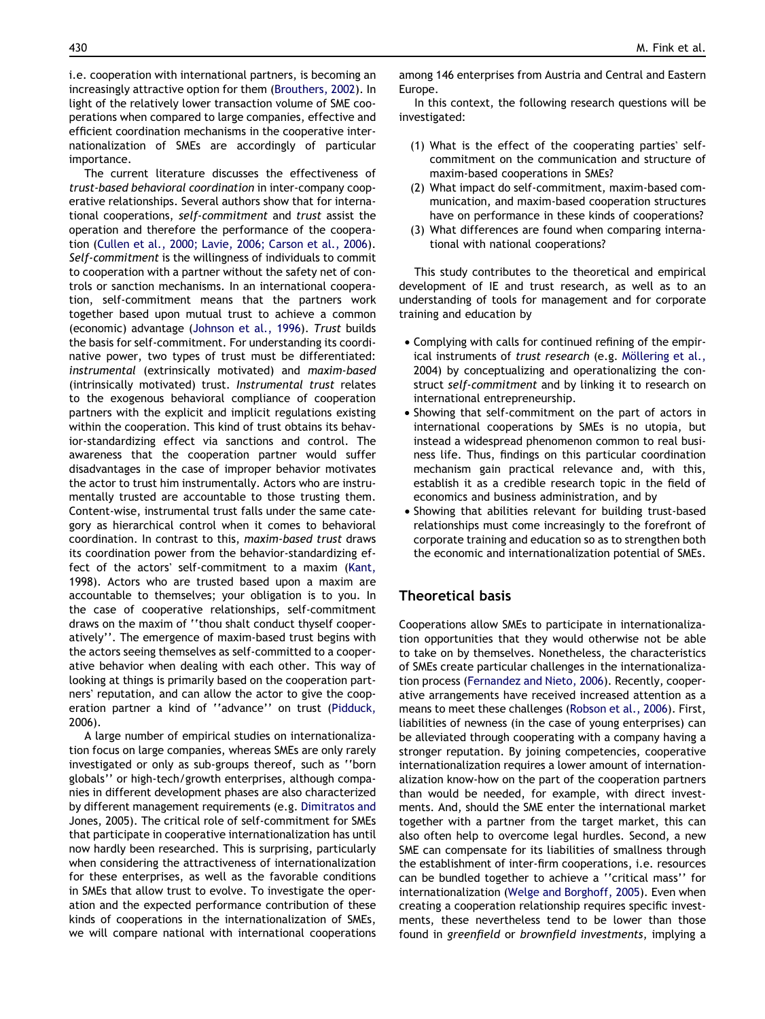i.e. cooperation with international partners, is becoming an increasingly attractive option for them ([Brouthers, 2002\)](#page--1-0). In light of the relatively lower transaction volume of SME cooperations when compared to large companies, effective and efficient coordination mechanisms in the cooperative internationalization of SMEs are accordingly of particular importance.

The current literature discusses the effectiveness of trust-based behavioral coordination in inter-company cooperative relationships. Several authors show that for international cooperations, self-commitment and trust assist the operation and therefore the performance of the cooperation ([Cullen et al., 2000; Lavie, 2006; Carson et al., 2006](#page--1-0)). Self-commitment is the willingness of individuals to commit to cooperation with a partner without the safety net of controls or sanction mechanisms. In an international cooperation, self-commitment means that the partners work together based upon mutual trust to achieve a common (economic) advantage [\(Johnson et al., 1996](#page--1-0)). Trust builds the basis for self-commitment. For understanding its coordinative power, two types of trust must be differentiated: instrumental (extrinsically motivated) and maxim-based (intrinsically motivated) trust. Instrumental trust relates to the exogenous behavioral compliance of cooperation partners with the explicit and implicit regulations existing within the cooperation. This kind of trust obtains its behavior-standardizing effect via sanctions and control. The awareness that the cooperation partner would suffer disadvantages in the case of improper behavior motivates the actor to trust him instrumentally. Actors who are instrumentally trusted are accountable to those trusting them. Content-wise, instrumental trust falls under the same category as hierarchical control when it comes to behavioral coordination. In contrast to this, maxim-based trust draws its coordination power from the behavior-standardizing ef-fect of the actors' self-commitment to a maxim [\(Kant,](#page--1-0) [1998](#page--1-0)). Actors who are trusted based upon a maxim are accountable to themselves; your obligation is to you. In the case of cooperative relationships, self-commitment draws on the maxim of ''thou shalt conduct thyself cooperatively''. The emergence of maxim-based trust begins with the actors seeing themselves as self-committed to a cooperative behavior when dealing with each other. This way of looking at things is primarily based on the cooperation partners' reputation, and can allow the actor to give the cooperation partner a kind of ''advance'' on trust [\(Pidduck,](#page--1-0) [2006](#page--1-0)).

A large number of empirical studies on internationalization focus on large companies, whereas SMEs are only rarely investigated or only as sub-groups thereof, such as ''born globals'' or high-tech/growth enterprises, although companies in different development phases are also characterized by different management requirements (e.g. [Dimitratos and](#page--1-0) [Jones, 2005\)](#page--1-0). The critical role of self-commitment for SMEs that participate in cooperative internationalization has until now hardly been researched. This is surprising, particularly when considering the attractiveness of internationalization for these enterprises, as well as the favorable conditions in SMEs that allow trust to evolve. To investigate the operation and the expected performance contribution of these kinds of cooperations in the internationalization of SMEs, we will compare national with international cooperations among 146 enterprises from Austria and Central and Eastern Europe.

In this context, the following research questions will be investigated:

- (1) What is the effect of the cooperating parties' selfcommitment on the communication and structure of maxim-based cooperations in SMEs?
- (2) What impact do self-commitment, maxim-based communication, and maxim-based cooperation structures have on performance in these kinds of cooperations?
- (3) What differences are found when comparing international with national cooperations?

This study contributes to the theoretical and empirical development of IE and trust research, as well as to an understanding of tools for management and for corporate training and education by

- Complying with calls for continued refining of the empirical instruments of trust research (e.g. Möllering et al., [2004\)](#page--1-0) by conceptualizing and operationalizing the construct self-commitment and by linking it to research on international entrepreneurship.
- Showing that self-commitment on the part of actors in international cooperations by SMEs is no utopia, but instead a widespread phenomenon common to real business life. Thus, findings on this particular coordination mechanism gain practical relevance and, with this, establish it as a credible research topic in the field of economics and business administration, and by
- Showing that abilities relevant for building trust-based relationships must come increasingly to the forefront of corporate training and education so as to strengthen both the economic and internationalization potential of SMEs.

## Theoretical basis

Cooperations allow SMEs to participate in internationalization opportunities that they would otherwise not be able to take on by themselves. Nonetheless, the characteristics of SMEs create particular challenges in the internationalization process [\(Fernandez and Nieto, 2006](#page--1-0)). Recently, cooperative arrangements have received increased attention as a means to meet these challenges ([Robson et al., 2006\)](#page--1-0). First, liabilities of newness (in the case of young enterprises) can be alleviated through cooperating with a company having a stronger reputation. By joining competencies, cooperative internationalization requires a lower amount of internationalization know-how on the part of the cooperation partners than would be needed, for example, with direct investments. And, should the SME enter the international market together with a partner from the target market, this can also often help to overcome legal hurdles. Second, a new SME can compensate for its liabilities of smallness through the establishment of inter-firm cooperations, i.e. resources can be bundled together to achieve a ''critical mass'' for internationalization ([Welge and Borghoff, 2005](#page--1-0)). Even when creating a cooperation relationship requires specific investments, these nevertheless tend to be lower than those found in greenfield or brownfield investments, implying a